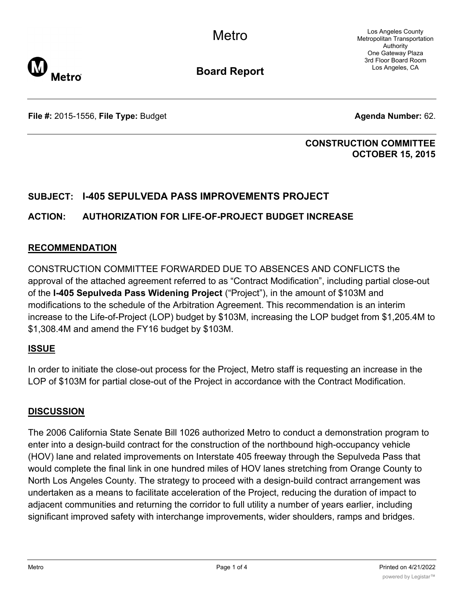Los Angeles County Metropolitan Transportation Authority One Gateway Plaza 3rd Floor Board Room Los Angeles, CA



**Board Report**

**File #:** 2015-1556, File Type: Budget **Agents Agenda Number:** 62.

# **CONSTRUCTION COMMITTEE OCTOBER 15, 2015**

# **SUBJECT: I-405 SEPULVEDA PASS IMPROVEMENTS PROJECT**

# **ACTION: AUTHORIZATION FOR LIFE-OF-PROJECT BUDGET INCREASE**

# **RECOMMENDATION**

CONSTRUCTION COMMITTEE FORWARDED DUE TO ABSENCES AND CONFLICTS the approval of the attached agreement referred to as "Contract Modification", including partial close-out of the **I-405 Sepulveda Pass Widening Project** ("Project"), in the amount of \$103M and modifications to the schedule of the Arbitration Agreement. This recommendation is an interim increase to the Life-of-Project (LOP) budget by \$103M, increasing the LOP budget from \$1,205.4M to \$1,308.4M and amend the FY16 budget by \$103M.

# **ISSUE**

In order to initiate the close-out process for the Project, Metro staff is requesting an increase in the LOP of \$103M for partial close-out of the Project in accordance with the Contract Modification.

# **DISCUSSION**

The 2006 California State Senate Bill 1026 authorized Metro to conduct a demonstration program to enter into a design-build contract for the construction of the northbound high-occupancy vehicle (HOV) lane and related improvements on Interstate 405 freeway through the Sepulveda Pass that would complete the final link in one hundred miles of HOV lanes stretching from Orange County to North Los Angeles County. The strategy to proceed with a design-build contract arrangement was undertaken as a means to facilitate acceleration of the Project, reducing the duration of impact to adjacent communities and returning the corridor to full utility a number of years earlier, including significant improved safety with interchange improvements, wider shoulders, ramps and bridges.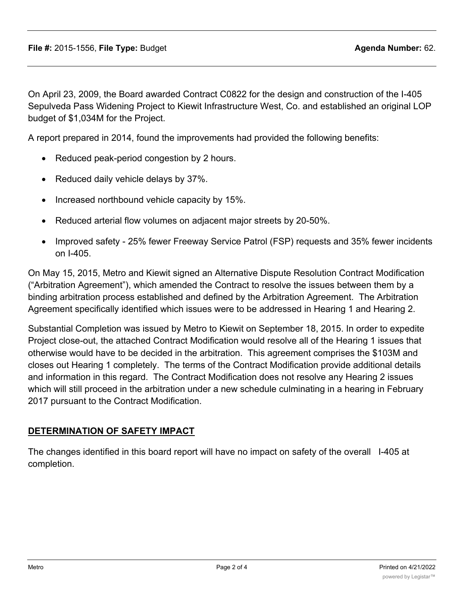On April 23, 2009, the Board awarded Contract C0822 for the design and construction of the I-405 Sepulveda Pass Widening Project to Kiewit Infrastructure West, Co. and established an original LOP budget of \$1,034M for the Project.

A report prepared in 2014, found the improvements had provided the following benefits:

- Reduced peak-period congestion by 2 hours.
- Reduced daily vehicle delays by 37%.
- Increased northbound vehicle capacity by 15%.
- Reduced arterial flow volumes on adjacent major streets by 20-50%.
- · Improved safety 25% fewer Freeway Service Patrol (FSP) requests and 35% fewer incidents on I-405.

On May 15, 2015, Metro and Kiewit signed an Alternative Dispute Resolution Contract Modification ("Arbitration Agreement"), which amended the Contract to resolve the issues between them by a binding arbitration process established and defined by the Arbitration Agreement. The Arbitration Agreement specifically identified which issues were to be addressed in Hearing 1 and Hearing 2.

Substantial Completion was issued by Metro to Kiewit on September 18, 2015. In order to expedite Project close-out, the attached Contract Modification would resolve all of the Hearing 1 issues that otherwise would have to be decided in the arbitration. This agreement comprises the \$103M and closes out Hearing 1 completely. The terms of the Contract Modification provide additional details and information in this regard. The Contract Modification does not resolve any Hearing 2 issues which will still proceed in the arbitration under a new schedule culminating in a hearing in February 2017 pursuant to the Contract Modification.

### **DETERMINATION OF SAFETY IMPACT**

The changes identified in this board report will have no impact on safety of the overall I-405 at completion.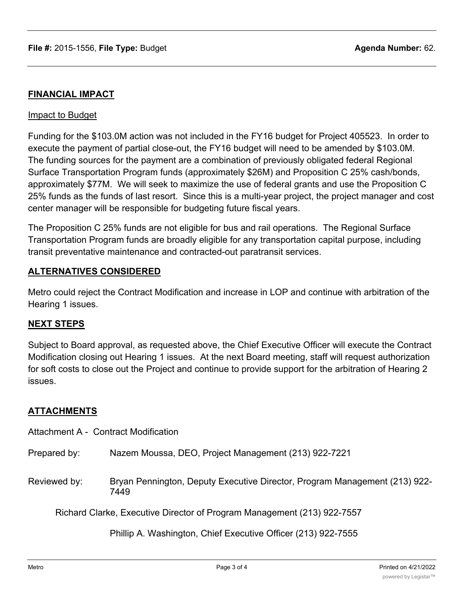# **FINANCIAL IMPACT**

#### Impact to Budget

Funding for the \$103.0M action was not included in the FY16 budget for Project 405523. In order to execute the payment of partial close-out, the FY16 budget will need to be amended by \$103.0M. The funding sources for the payment are a combination of previously obligated federal Regional Surface Transportation Program funds (approximately \$26M) and Proposition C 25% cash/bonds, approximately \$77M. We will seek to maximize the use of federal grants and use the Proposition C 25% funds as the funds of last resort. Since this is a multi-year project, the project manager and cost center manager will be responsible for budgeting future fiscal years.

The Proposition C 25% funds are not eligible for bus and rail operations. The Regional Surface Transportation Program funds are broadly eligible for any transportation capital purpose, including transit preventative maintenance and contracted-out paratransit services.

### **ALTERNATIVES CONSIDERED**

Metro could reject the Contract Modification and increase in LOP and continue with arbitration of the Hearing 1 issues.

### **NEXT STEPS**

Subject to Board approval, as requested above, the Chief Executive Officer will execute the Contract Modification closing out Hearing 1 issues. At the next Board meeting, staff will request authorization for soft costs to close out the Project and continue to provide support for the arbitration of Hearing 2 issues.

### **ATTACHMENTS**

Attachment A - Contract Modification

|  | Prepared by: | Nazem Moussa, DEO, Project Management (213) 922-7221 |  |
|--|--------------|------------------------------------------------------|--|
|--|--------------|------------------------------------------------------|--|

Reviewed by: Bryan Pennington, Deputy Executive Director, Program Management (213) 922- 7449

Richard Clarke, Executive Director of Program Management (213) 922-7557

Phillip A. Washington, Chief Executive Officer (213) 922-7555